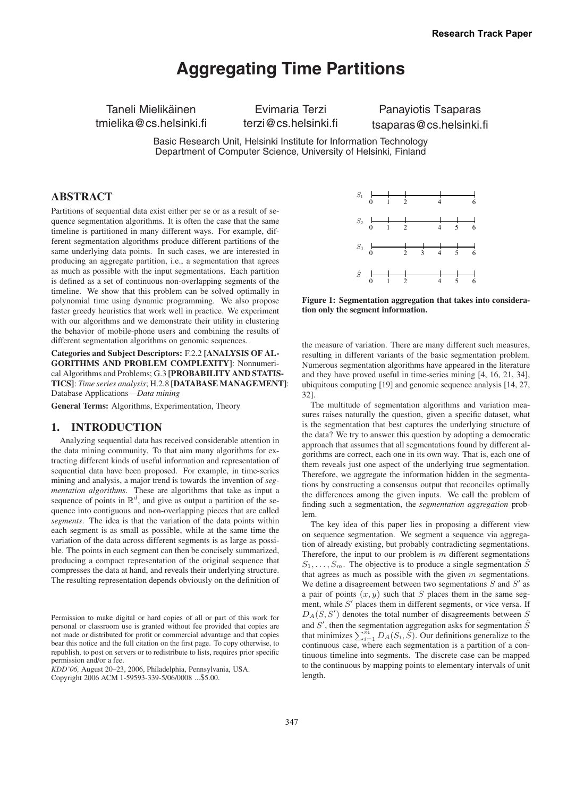# **Aggregating Time Partitions**

Taneli Mielikäinen tmielika@cs.helsinki.fi

Evimaria Terzi terzi@cs.helsinki.fi

Panayiotis Tsaparas tsaparas@cs.helsinki.fi

Basic Research Unit, Helsinki Institute for Information Technology Department of Computer Science, University of Helsinki, Finland

# **ABSTRACT**

Partitions of sequential data exist either per se or as a result of sequence segmentation algorithms. It is often the case that the same timeline is partitioned in many different ways. For example, different segmentation algorithms produce different partitions of the same underlying data points. In such cases, we are interested in producing an aggregate partition, i.e., a segmentation that agrees as much as possible with the input segmentations. Each partition is defined as a set of continuous non-overlapping segments of the timeline. We show that this problem can be solved optimally in polynomial time using dynamic programming. We also propose faster greedy heuristics that work well in practice. We experiment with our algorithms and we demonstrate their utility in clustering the behavior of mobile-phone users and combining the results of different segmentation algorithms on genomic sequences.

**Categories and Subject Descriptors:** F.2.2 **[ANALYSIS OF AL-GORITHMS AND PROBLEM COMPLEXITY]**: Nonnumerical Algorithms and Problems; G.3 **[PROBABILITY AND STATIS-TICS]**: *Time series analysis*; H.2.8 **[DATABASE MANAGEMENT]**: Database Applications—*Data mining*

**General Terms:** Algorithms, Experimentation, Theory

## **1. INTRODUCTION**

Analyzing sequential data has received considerable attention in the data mining community. To that aim many algorithms for extracting different kinds of useful information and representation of sequential data have been proposed. For example, in time-series mining and analysis, a major trend is towards the invention of *segmentation algorithms*. These are algorithms that take as input a sequence of points in  $\mathbb{R}^d$ , and give as output a partition of the sequence into contiguous and non-overlapping pieces that are called *segments*. The idea is that the variation of the data points within each segment is as small as possible, while at the same time the variation of the data across different segments is as large as possible. The points in each segment can then be concisely summarized, producing a compact representation of the original sequence that compresses the data at hand, and reveals their underlying structure. The resulting representation depends obviously on the definition of

*KDD'06,* August 20–23, 2006, Philadelphia, Pennsylvania, USA.

Copyright 2006 ACM 1-59593-339-5/06/0008 ...\$5.00.



**Figure 1: Segmentation aggregation that takes into consideration only the segment information.**

the measure of variation. There are many different such measures, resulting in different variants of the basic segmentation problem. Numerous segmentation algorithms have appeared in the literature and they have proved useful in time-series mining [4, 16, 21, 34], ubiquitous computing [19] and genomic sequence analysis [14, 27, 32].

The multitude of segmentation algorithms and variation measures raises naturally the question, given a specific dataset, what is the segmentation that best captures the underlying structure of the data? We try to answer this question by adopting a democratic approach that assumes that all segmentations found by different algorithms are correct, each one in its own way. That is, each one of them reveals just one aspect of the underlying true segmentation. Therefore, we aggregate the information hidden in the segmentations by constructing a consensus output that reconciles optimally the differences among the given inputs. We call the problem of finding such a segmentation, the *segmentation aggregation* problem.

The key idea of this paper lies in proposing a different view on sequence segmentation. We segment a sequence via aggregation of already existing, but probably contradicting segmentations. Therefore, the input to our problem is  $m$  different segmentations  $S_1, \ldots, S_m$ . The objective is to produce a single segmentation  $\hat{S}$ that agrees as much as possible with the given  $m$  segmentations. We define a disagreement between two segmentations  $S$  and  $S'$  as a pair of points  $(x, y)$  such that S places them in the same segment, while  $S'$  places them in different segments, or vice versa. If  $D_A(S, S')$  denotes the total number of disagreements between S<br>and S' than the commentation aggregation asks for commentation  $\hat{S}$ and S', then the segmentation aggregation asks for segmentation  $\hat{S}$ that minimizes  $\sum_{i=1}^{m} D_A(S_i, \hat{S})$ . Our definitions generalize to the continuous case, where each segmentation is a partition of a concontinuous case, where each segmentation is a partition of a continuous timeline into segments. The discrete case can be mapped to the continuous by mapping points to elementary intervals of unit length.

Permission to make digital or hard copies of all or part of this work for personal or classroom use is granted without fee provided that copies are not made or distributed for profit or commercial advantage and that copies bear this notice and the full citation on the first page. To copy otherwise, to republish, to post on servers or to redistribute to lists, requires prior specific permission and/or a fee.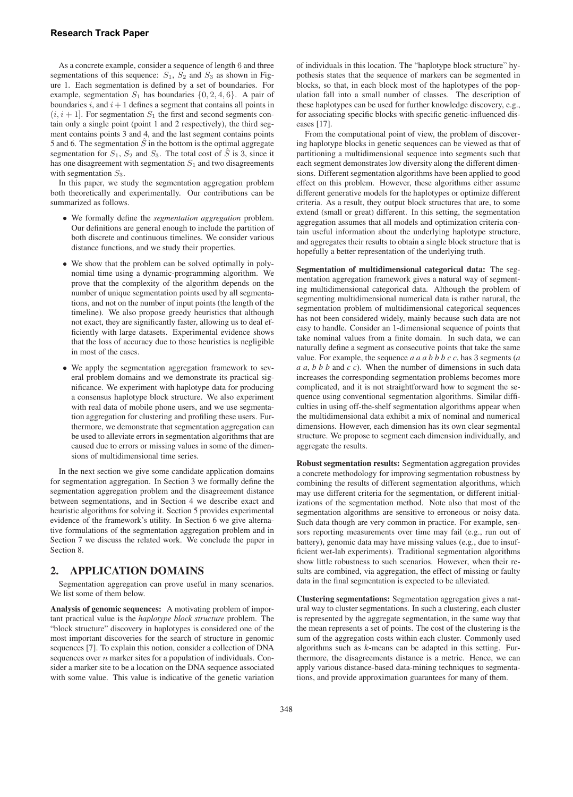#### **Research Track Paper**

As a concrete example, consider a sequence of length 6 and three segmentations of this sequence:  $S_1$ ,  $S_2$  and  $S_3$  as shown in Figure 1. Each segmentation is defined by a set of boundaries. For example, segmentation  $S_1$  has boundaries  $\{0, 2, 4, 6\}$ . A pair of boundaries  $i$ , and  $i + 1$  defines a segment that contains all points in  $(i, i + 1]$ . For segmentation  $S_1$  the first and second segments contain only a single point (point 1 and 2 respectively), the third segment contains points 3 and 4, and the last segment contains points 5 and 6. The segmentation  $\hat{S}$  in the bottom is the optimal aggregate segmentation for  $S_1$ ,  $S_2$  and  $S_3$ . The total cost of  $\hat{S}$  is 3, since it has one disagreement with segmentation  $S_1$  and two disagreements with segmentation  $S_3$ .

In this paper, we study the segmentation aggregation problem both theoretically and experimentally. Our contributions can be summarized as follows.

- We formally define the *segmentation aggregation* problem. Our definitions are general enough to include the partition of both discrete and continuous timelines. We consider various distance functions, and we study their properties.
- We show that the problem can be solved optimally in polynomial time using a dynamic-programming algorithm. We prove that the complexity of the algorithm depends on the number of unique segmentation points used by all segmentations, and not on the number of input points (the length of the timeline). We also propose greedy heuristics that although not exact, they are significantly faster, allowing us to deal efficiently with large datasets. Experimental evidence shows that the loss of accuracy due to those heuristics is negligible in most of the cases.
- We apply the segmentation aggregation framework to several problem domains and we demonstrate its practical significance. We experiment with haplotype data for producing a consensus haplotype block structure. We also experiment with real data of mobile phone users, and we use segmentation aggregation for clustering and profiling these users. Furthermore, we demonstrate that segmentation aggregation can be used to alleviate errors in segmentation algorithms that are caused due to errors or missing values in some of the dimensions of multidimensional time series.

In the next section we give some candidate application domains for segmentation aggregation. In Section 3 we formally define the segmentation aggregation problem and the disagreement distance between segmentations, and in Section 4 we describe exact and heuristic algorithms for solving it. Section 5 provides experimental evidence of the framework's utility. In Section 6 we give alternative formulations of the segmentation aggregation problem and in Section 7 we discuss the related work. We conclude the paper in Section 8.

# **2. APPLICATION DOMAINS**

Segmentation aggregation can prove useful in many scenarios. We list some of them below.

**Analysis of genomic sequences:** A motivating problem of important practical value is the *haplotype block structure* problem. The "block structure" discovery in haplotypes is considered one of the most important discoveries for the search of structure in genomic sequences [7]. To explain this notion, consider a collection of DNA sequences over  $n$  marker sites for a population of individuals. Consider a marker site to be a location on the DNA sequence associated with some value. This value is indicative of the genetic variation

of individuals in this location. The "haplotype block structure" hypothesis states that the sequence of markers can be segmented in blocks, so that, in each block most of the haplotypes of the population fall into a small number of classes. The description of these haplotypes can be used for further knowledge discovery, e.g., for associating specific blocks with specific genetic-influenced diseases [17].

From the computational point of view, the problem of discovering haplotype blocks in genetic sequences can be viewed as that of partitioning a multidimensional sequence into segments such that each segment demonstrates low diversity along the different dimensions. Different segmentation algorithms have been applied to good effect on this problem. However, these algorithms either assume different generative models for the haplotypes or optimize different criteria. As a result, they output block structures that are, to some extend (small or great) different. In this setting, the segmentation aggregation assumes that all models and optimization criteria contain useful information about the underlying haplotype structure, and aggregates their results to obtain a single block structure that is hopefully a better representation of the underlying truth.

**Segmentation of multidimensional categorical data:** The segmentation aggregation framework gives a natural way of segmenting multidimensional categorical data. Although the problem of segmenting multidimensional numerical data is rather natural, the segmentation problem of multidimensional categorical sequences has not been considered widely, mainly because such data are not easy to handle. Consider an 1-dimensional sequence of points that take nominal values from a finite domain. In such data, we can naturally define a segment as consecutive points that take the same value. For example, the sequence *aaabbbcc*, has 3 segments (*<sup>a</sup> a a*, *bbb* and *c c*). When the number of dimensions in such data increases the corresponding segmentation problems becomes more complicated, and it is not straightforward how to segment the sequence using conventional segmentation algorithms. Similar difficulties in using off-the-shelf segmentation algorithms appear when the multidimensional data exhibit a mix of nominal and numerical dimensions. However, each dimension has its own clear segmental structure. We propose to segment each dimension individually, and aggregate the results.

**Robust segmentation results:** Segmentation aggregation provides a concrete methodology for improving segmentation robustness by combining the results of different segmentation algorithms, which may use different criteria for the segmentation, or different initializations of the segmentation method. Note also that most of the segmentation algorithms are sensitive to erroneous or noisy data. Such data though are very common in practice. For example, sensors reporting measurements over time may fail (e.g., run out of battery), genomic data may have missing values (e.g., due to insufficient wet-lab experiments). Traditional segmentation algorithms show little robustness to such scenarios. However, when their results are combined, via aggregation, the effect of missing or faulty data in the final segmentation is expected to be alleviated.

**Clustering segmentations:** Segmentation aggregation gives a natural way to cluster segmentations. In such a clustering, each cluster is represented by the aggregate segmentation, in the same way that the mean represents a set of points. The cost of the clustering is the sum of the aggregation costs within each cluster. Commonly used algorithms such as  $k$ -means can be adapted in this setting. Furthermore, the disagreements distance is a metric. Hence, we can apply various distance-based data-mining techniques to segmentations, and provide approximation guarantees for many of them.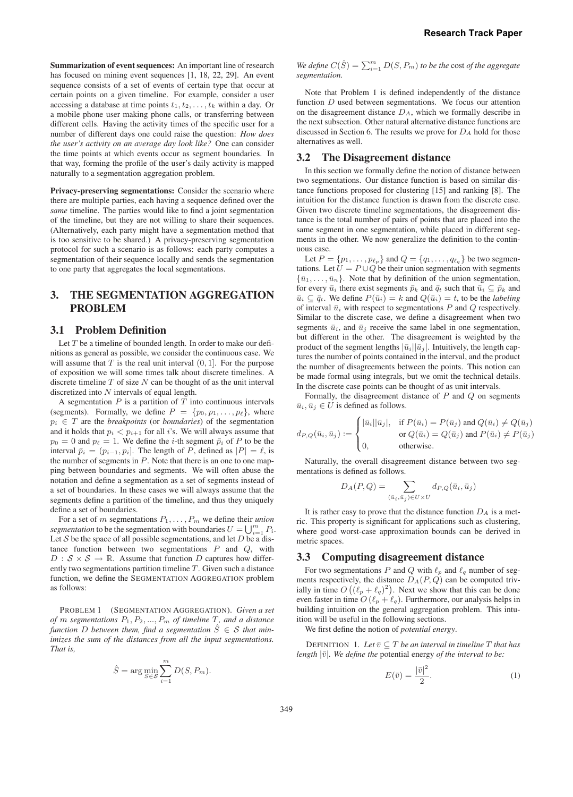**Summarization of event sequences:** An important line of research has focused on mining event sequences [1, 18, 22, 29]. An event sequence consists of a set of events of certain type that occur at certain points on a given timeline. For example, consider a user accessing a database at time points  $t_1, t_2, \ldots, t_k$  within a day. Or a mobile phone user making phone calls, or transferring between different cells. Having the activity times of the specific user for a number of different days one could raise the question: *How does the user's activity on an average day look like?* One can consider the time points at which events occur as segment boundaries. In that way, forming the profile of the user's daily activity is mapped naturally to a segmentation aggregation problem.

**Privacy-preserving segmentations:** Consider the scenario where there are multiple parties, each having a sequence defined over the *same* timeline. The parties would like to find a joint segmentation of the timeline, but they are not willing to share their sequences. (Alternatively, each party might have a segmentation method that is too sensitive to be shared.) A privacy-preserving segmentation protocol for such a scenario is as follows: each party computes a segmentation of their sequence locally and sends the segmentation to one party that aggregates the local segmentations.

# **3. THE SEGMENTATION AGGREGATION PROBLEM**

#### **3.1 Problem Definition**

Let  $T$  be a timeline of bounded length. In order to make our definitions as general as possible, we consider the continuous case. We will assume that  $T$  is the real unit interval  $(0, 1]$ . For the purpose of exposition we will some times talk about discrete timelines. A discrete timeline  $T$  of size  $N$  can be thought of as the unit interval discretized into N intervals of equal length.

A segmentation  $P$  is a partition of  $T$  into continuous intervals (segments). Formally, we define  $P = \{p_0, p_1, \ldots, p_\ell\}$ , where  $p_i \in T$  are the *breaknoints* (or *houndaries*) of the segmentation  $p_i \in T$  are the *breakpoints* (or *boundaries*) of the segmentation and it holds that  $p_i < p_{i+1}$  for all *i*'s. We will always assume that  $p_0 = 0$  and  $p_\ell = 1$ . We define the *i*-th segment  $\bar{p}_i$  of *P* to be the interval  $\bar{p}_i = (p_i, p_i)$ . The length of *P* defined as  $|P| = \ell$  is interval  $\bar{p}_i = (p_{i-1}, p_i]$ . The length of P, defined as  $|P| = \ell$ , is the number of segments in  $P$ . Note that there is an one to one mapping between boundaries and segments. We will often abuse the notation and define a segmentation as a set of segments instead of a set of boundaries. In these cases we will always assume that the segments define a partition of the timeline, and thus they uniquely define a set of boundaries.

For a set of m segmentations  $P_1, \ldots, P_m$  we define their *union segmentation* to be the segmentation with boundaries  $U = \bigcup_{i=1}^{m} P_i$ .<br>Let S be the space of all possible segmentations, and let D be a dis-Let  $S$  be the space of all possible segmentations, and let  $D$  be a distance function between two segmentations  $P$  and  $Q$ , with  $D : S \times S \rightarrow \mathbb{R}$ . Assume that function D captures how differently two segmentations partition timeline T. Given such a distance function, we define the SEGMENTATION AGGREGATION problem as follows:

PROBLEM 1 (SEGMENTATION AGGREGATION). *Given a set of* m *segmentations*  $P_1, P_2, ..., P_m$  *of timeline*  $T$ *, and a distance function* D *between them, find a segmentation*  $\ddot{S} \in S$  *that minimizes the sum of the distances from all the input segmentations. That is,*

$$
\hat{S} = \arg\min_{S \in \mathcal{S}} \sum_{i=1}^{m} D(S, P_m).
$$

*We define*  $C(\hat{S}) = \sum_{i=1}^{m} D(S, P_m)$  *to be the* cost *of the aggregate segmentation segmentation.*

Note that Problem 1 is defined independently of the distance function  $D$  used between segmentations. We focus our attention on the disagreement distance  $D_A$ , which we formally describe in the next subsection. Other natural alternative distance functions are discussed in Section 6. The results we prove for  $D_A$  hold for those alternatives as well.

#### **3.2 The Disagreement distance**

In this section we formally define the notion of distance between two segmentations. Our distance function is based on similar distance functions proposed for clustering [15] and ranking [8]. The intuition for the distance function is drawn from the discrete case. Given two discrete timeline segmentations, the disagreement distance is the total number of pairs of points that are placed into the same segment in one segmentation, while placed in different segments in the other. We now generalize the definition to the continuous case.

Let  $P = \{p_1, \ldots, p_{\ell_p}\}$  and  $Q = \{q_1, \ldots, q_{\ell_q}\}$  be two segmen-<br>ions Let  $U = P \cup Q$  be their union segmentation with segments tations. Let  $U = P \cup Q$  be their union segmentation with segments  ${\{\bar{u}_1,\ldots,\bar{u}_n\}}$ . Note that by definition of the union segmentation, for every  $\bar{u}_i$  there exist segments  $\bar{p}_k$  and  $\bar{q}_t$  such that  $\bar{u}_i \subseteq \bar{p}_k$  and  $\bar{u}_i \subseteq \bar{q}_t$ . We define  $P(\bar{u}_i) = k$  and  $Q(\bar{u}_i) = t$ , to be the *labeling* of interval  $\bar{u}_i$  with respect to segmentations P and Q respectively. Similar to the discrete case, we define a disagreement when two segments  $\bar{u}_i$ , and  $\bar{u}_j$  receive the same label in one segmentation, but different in the other. The disagreement is weighted by the product of the segment lengths  $|\bar{u}_i||\bar{u}_j|$ . Intuitively, the length captures the number of points contained in the interval, and the product the number of disagreements between the points. This notion can be made formal using integrals, but we omit the technical details. In the discrete case points can be thought of as unit intervals.

Formally, the disagreement distance of  $P$  and  $Q$  on segments  $\bar{u}_i, \bar{u}_j \in U$  is defined as follows.

$$
d_{P,Q}(\bar{u}_i, \bar{u}_j) := \begin{cases} |\bar{u}_i||\bar{u}_j|, & \text{if } P(\bar{u}_i) = P(\bar{u}_j) \text{ and } Q(\bar{u}_i) \neq Q(\bar{u}_j) \\ & \text{or } Q(\bar{u}_i) = Q(\bar{u}_j) \text{ and } P(\bar{u}_i) \neq P(\bar{u}_j) \\ 0, & \text{otherwise.} \end{cases}
$$

Naturally, the overall disagreement distance between two segmentations is defined as follows.

$$
D_A(P,Q) = \sum_{(\bar{u}_i, \bar{u}_j) \in U \times U} d_{P,Q}(\bar{u}_i, \bar{u}_j)
$$

It is rather easy to prove that the distance function  $D_A$  is a metric. This property is significant for applications such as clustering, where good worst-case approximation bounds can be derived in metric spaces.

#### **3.3 Computing disagreement distance**

For two segmentations P and Q with  $\ell_p$  and  $\ell_q$  number of segments respectively, the distance  $D_A(P,Q)$  can be computed trivially in time  $O((\ell_p + \ell_q)^2)$ . Next we show that this can be done<br>even faster in time  $O((\ell + \ell))$ . Furthermore, our analysis helps in even faster in time  $O(\ell_p + \ell_q)$ . Furthermore, our analysis helps in building intuition on the general aggregation problem. This intubuilding intuition on the general aggregation problem. This intuition will be useful in the following sections.

We first define the notion of *potential energy*.

DEFINITION 1. Let  $\overline{v} \subseteq T$  *be an interval in timeline*  $T$  *that has length*  $|\bar{v}|$ *. We define the potential energy of the interval to be:* 

$$
E(\bar{v}) = \frac{|\bar{v}|^2}{2}.
$$
 (1)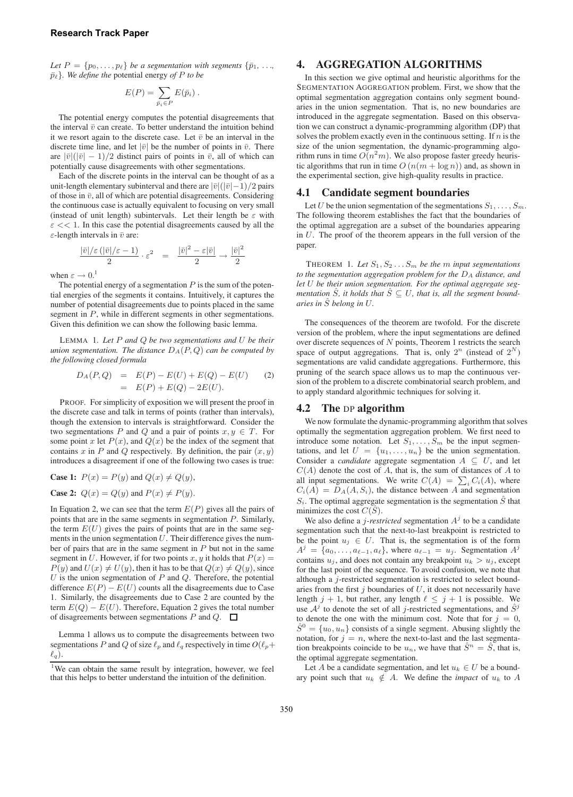#### **Research Track Paper**

*Let*  $P = \{p_0, \ldots, p_\ell\}$  *be a segmentation with segments*  $\{\bar{p}_1, \ldots, \bar{p}_\ell\}$  *We define the potential energy of P to be*  $\bar{p}_{\ell}$ }. We define the potential energy *of* P to be

$$
E(P) = \sum_{\bar{p}_i \in P} E(\bar{p}_i) .
$$

The potential energy computes the potential disagreements that the interval  $\bar{v}$  can create. To better understand the intuition behind it we resort again to the discrete case. Let  $\bar{v}$  be an interval in the discrete time line, and let  $|\bar{v}|$  be the number of points in  $\bar{v}$ . There are  $|\bar{v}|(|\bar{v}| - 1)/2$  distinct pairs of points in  $\bar{v}$ , all of which can potentially cause disagreements with other segmentations.

Each of the discrete points in the interval can be thought of as a unit-length elementary subinterval and there are  $|\bar{v}|(|\bar{v}|-1)/2$  pairs of those in  $\bar{v}$ , all of which are potential disagreements. Considering the continuous case is actually equivalent to focusing on very small (instead of unit length) subintervals. Let their length be  $\varepsilon$  with  $\epsilon \ll 1$ . In this case the potential disagreements caused by all the  $\varepsilon$ -length intervals in  $\bar{v}$  are:

$$
\frac{|\bar{v}|/\varepsilon (\bar{v}|/\varepsilon - 1)}{2} \cdot \varepsilon^2 = \frac{|\bar{v}|^2 - \varepsilon |\bar{v}|}{2} \to \frac{|\bar{v}|^2}{2}
$$

when  $\varepsilon \to 0.1$ <br>The potentic

The potential energy of a segmentation  $P$  is the sum of the potential energies of the segments it contains. Intuitively, it captures the number of potential disagreements due to points placed in the same segment in P, while in different segments in other segmentations. Given this definition we can show the following basic lemma.

LEMMA 1. *Let* P *and* Q *be two segmentations and* U *be their union segmentation. The distance*  $D_A(P,Q)$  *can be computed by the following closed formula*

$$
D_A(P,Q) = E(P) - E(U) + E(Q) - E(U)
$$
  
=  $E(P) + E(Q) - 2E(U)$ . (2)

PROOF. For simplicity of exposition we will present the proof in the discrete case and talk in terms of points (rather than intervals), though the extension to intervals is straightforward. Consider the two segmentations P and Q and a pair of points  $x, y \in T$ . For some point x let  $P(x)$ , and  $Q(x)$  be the index of the segment that contains x in P and Q respectively. By definition, the pair  $(x, y)$ introduces a disagreement if one of the following two cases is true:

**Case 1:**  $P(x) = P(y)$  and  $Q(x) \neq Q(y)$ , **Case 2:**  $Q(x) = Q(y)$  and  $P(x) \neq P(y)$ .

In Equation 2, we can see that the term  $E(P)$  gives all the pairs of points that are in the same segments in segmentation P. Similarly, the term  $E(U)$  gives the pairs of points that are in the same segments in the union segmentation  $U$ . Their difference gives the number of pairs that are in the same segment in  $P$  but not in the same segment in U. However, if for two points x, y it holds that  $P(x) =$  $P(y)$  and  $U(x) \neq U(y)$ , then it has to be that  $Q(x) \neq Q(y)$ , since U is the union segmentation of  $P$  and  $Q$ . Therefore, the potential difference  $E(P) - E(U)$  counts all the disagreements due to Case 1. Similarly, the disagreements due to Case 2 are counted by the term  $E(Q) - E(U)$ . Therefore, Equation 2 gives the total number of disagreements between segmentations  $P$  and  $Q$ .  $\Box$ 

Lemma 1 allows us to compute the disagreements between two segmentations P and Q of size  $\ell_p$  and  $\ell_q$  respectively in time  $O(\ell_p + \ell)$  $\frac{\ell_q}{\cdot}$ .

## **4. AGGREGATION ALGORITHMS**

In this section we give optimal and heuristic algorithms for the SEGMENTATION AGGREGATION problem. First, we show that the optimal segmentation aggregation contains only segment boundaries in the union segmentation. That is, no new boundaries are introduced in the aggregate segmentation. Based on this observation we can construct a dynamic-programming algorithm (DP) that solves the problem exactly even in the continuous setting. If  $n$  is the size of the union segmentation, the dynamic-programming algorithm runs in time  $O(n^2m)$ . We also propose faster greedy heuristic algorithms that run in time  $O(n(m + \log n))$  and, as shown in the experimental section, give high-quality results in practice.

#### **4.1 Candidate segment boundaries**

Let U be the union segmentation of the segmentations  $S_1, \ldots, S_m$ . The following theorem establishes the fact that the boundaries of the optimal aggregation are a subset of the boundaries appearing in U. The proof of the theorem appears in the full version of the paper.

THEOREM 1. Let  $S_1, S_2 \ldots S_m$  be the m *input segmentations to the segmentation aggregation problem for the*  $D_A$  *distance, and let* U *be their union segmentation. For the optimal aggregate segmentation*  $\hat{S}$ *, it holds that*  $\hat{S} \subseteq U$ *, that is, all the segment boundaries in*  $\hat{S}$  *belong in*  $U$ .

The consequences of the theorem are twofold. For the discrete version of the problem, where the input segmentations are defined over discrete sequences of  $N$  points, Theorem 1 restricts the search space of output aggregations. That is, only  $2^n$  (instead of  $2^N$ ) segmentations are valid candidate aggregations. Furthermore, this pruning of the search space allows us to map the continuous version of the problem to a discrete combinatorial search problem, and to apply standard algorithmic techniques for solving it.

#### **4.2 The** DP **algorithm**

We now formulate the dynamic-programming algorithm that solves optimally the segmentation aggregation problem. We first need to introduce some notation. Let  $S_1, \ldots, S_m$  be the input segmentations, and let  $U = \{u_1, \ldots, u_n\}$  be the union segmentation. Consider a *candidate* aggregate segmentation  $A \subseteq U$ , and let  $C(A)$  denote the cost of A, that is, the sum of distances of A to all input segmentations. We write  $C(A) = \sum_i C_i(A)$ , where  $C_i(A) = D_i(A \mid S_i)$  the distance between A and segmentation  $C_i(A) = D_A(A, S_i)$ , the distance between A and segmentation  $S_i$ . The optimal aggregate segmentation is the segmentation  $\hat{S}$  that minimizes the cost  $C(S)$ .

We also define a *j*-restricted segmentation  $A<sup>j</sup>$  to be a candidate segmentation such that the next-to-last breakpoint is restricted to be the point  $u_i \in U$ . That is, the segmentation is of the form  $A^j = \{a_0, \ldots, a_{\ell-1}, a_{\ell}\}\,$ , where  $a_{\ell-1} = u_j$ . Segmentation  $A^j$  contains  $u_j$  and does not contain any breaknoint  $u_j > u_j$  except contains  $u_i$ , and does not contain any breakpoint  $u_k > u_j$ , except for the last point of the sequence. To avoid confusion, we note that although a j-restricted segmentation is restricted to select boundaries from the first  $j$  boundaries of  $U$ , it does not necessarily have length  $j + 1$ , but rather, any length  $\ell \leq j + 1$  is possible. We use  $A^{j}$  to denote the set of all *i*-restricted segmentations and  $\hat{S}^{j}$ use  $A<sup>j</sup>$  to denote the set of all j-restricted segmentations, and  $\hat{S}$ <sup>j</sup> to denote the one with the minimum cost. Note that for  $j = 0$ ,  $\hat{S}^0 = \{u_0, u_n\}$  consists of a single segment. Abusing slightly the notation, for  $j = n$ , where the next-to-last and the last segmentation breakpoints coincide to be  $u_n$ , we have that  $\hat{S}^n = \hat{S}$ , that is, the optimal aggregate segmentation.

Let A be a candidate segmentation, and let  $u_k \in U$  be a boundary point such that  $u_k \notin A$ . We define the *impact* of  $u_k$  to A

<sup>&</sup>lt;sup>1</sup>We can obtain the same result by integration, however, we feel that this helps to better understand the intuition of the definition.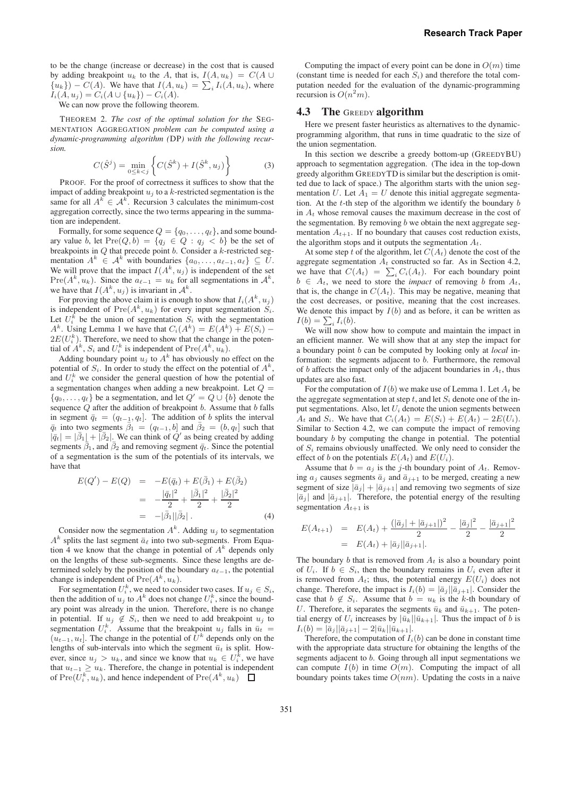to be the change (increase or decrease) in the cost that is caused by adding breakpoint  $u_k$  to the A, that is,  $I(A, u_k) = C(A \cup$  ${u_k \brace u_k} - C(A)$ . We have that  $I(A, u_k) = \sum_i I_i(A, u_k)$ , where  $I_i(A, u_j) = C_i(A \cup \{u_k\}) - C_i(A).$ 

We can now prove the following theorem.

THEOREM 2. *The cost of the optimal solution for the* SEG-MENTATION AGGREGATION *problem can be computed using a dynamic-programming algorithm (*DP*) with the following recursion.*

$$
C(\hat{S}^j) = \min_{0 \le k < j} \left\{ C(\hat{S}^k) + I(\hat{S}^k, u_j) \right\} \tag{3}
$$

PROOF. For the proof of correctness it suffices to show that the impact of adding breakpoint  $u_j$  to a k-restricted segmentation is the same for all  $A^k \in \mathcal{A}^k$ . Recursion 3 calculates the minimum-cost aggregation correctly, since the two terms appearing in the summation are independent.

Formally, for some sequence  $Q = \{q_0, \ldots, q_\ell\}$ , and some bound-<br>  $Q \times \{q_0, \ldots, q_\ell\}$  and some boundary value b, let  $Pre(Q, b) = \{q_j \in Q : q_j < b\}$  be the set of breakpoints in Q that precede point b. Consider a k-restricted segmentation  $A^k \in \mathcal{A}^k$  with boundaries  $\{a_0, \ldots, a_{\ell-1}, a_\ell\} \subseteq U$ . We will prove that the impact  $I(A^k, u_j)$  is independent of the set  $Pre(A^k, u_k)$ . Since the  $a_{\ell-1} = u_k$  for all segmentations in  $A^k$ , we have that  $I(A^k, u_k)$  is invariant in  $A^k$ we have that  $I(A^k, u_j)$  is invariant in  $\mathcal{A}^k$ .

For proving the above claim it is enough to show that  $I_i(A^k, u_j)$ is independent of  $Pre(A^k, u_k)$  for every input segmentation  $S_i$ . Let  $U_i^{\hat{k}}$  be the union of segmentation  $S_i$  with the segmentation  $A^k$ . Using Lemma 1 we have that  $C_i(A^k) = E(A^k) + E(S_i)$  –  $2E(U_i^k)$ . Therefore, we need to show that the change in the potential of  $A^k$ . See and  $U^k$  is independent of  $\text{Pre}(A^k, u_i)$ . tial of  $A^k$ ,  $S_i$  and  $U_i^k$  is independent of  $Pre(A^k, u_k)$ .<br>Adding boundary point  $u_i$  to  $A^k$  has obviously no

Adding boundary point  $u_i$  to  $A^k$  has obviously no effect on the potential of  $S_i$ . In order to study the effect on the potential of  $A^k$ , and  $U_i^k$  we consider the general question of how the potential of a segmentation changes when adding a new breakpoint. Let  $Q =$  $\{q_0, \ldots, q_\ell\}$  be a segmentation, and let  $Q' = Q \cup \{b\}$  denote the sequence  $\Omega$  after the addition of breakpoint b. Assume that b falls sequence  $Q$  after the addition of breakpoint  $b$ . Assume that  $b$  falls in segment  $\bar{q}_t = (q_{t-1}, q_t]$ . The addition of b splits the interval  $\overline{q}_t$  into two segments  $\overline{\beta}_1 = (q_{t-1}, b]$  and  $\overline{\beta}_2 = (b, q_t]$  such that  $|\bar{q}_t| = |\bar{\beta}_1| + |\bar{\beta}_2|$ . We can think of  $\bar{Q}'$  as being created by adding segments  $\bar{\beta}_1$  and  $\bar{\beta}_2$  and removing segment  $\bar{q}_2$ . Since the notential segments  $\bar{\beta}_1$ , and  $\bar{\beta}_2$  and removing segment  $\bar{q}_t$ . Since the potential of a segmentation is the sum of the potentials of its intervals, we have that

$$
E(Q') - E(Q) = -E(\bar{q}_t) + E(\bar{\beta}_1) + E(\bar{\beta}_2)
$$
  
=  $-\frac{|\bar{q}_t|^2}{2} + \frac{|\bar{\beta}_1|^2}{2} + \frac{|\bar{\beta}_2|^2}{2}$   
=  $-|\bar{\beta}_1||\bar{\beta}_2|$ . (4)

Consider now the segmentation  $A^k$ . Adding  $u_j$  to segmentation  $A^k$  splits the last segment  $\bar{a}_\ell$  into two sub-segments. From Equation 4 we know that the change in potential of  $A^k$  depends only tion 4 we know that the change in potential of  $A<sup>k</sup>$  depends only on the lengths of these sub-segments. Since these lengths are determined solely by the position of the boundary  $a_{\ell-1}$ , the potential change is independent of  $Pre(A^k, u_k)$ .

For segmentation  $U_i^k$ , we need to consider two cases. If  $u_j \in S_i$ , then the addition of  $u_j$  to  $A^k$  does not change  $U_i^k$ , since the boundary point was already in the union. Therefore, there is no change in potential. If  $u_j \notin S_i$ , then we need to add breakpoint  $u_j$  to segmentation  $U_k^k$ . Assume that the breakpoint  $u_j$  falls in  $\bar{u}_t = (u_{k+1}, u_k)$ . The change in the potential of  $U_k^k$  depends only on the  $(u_{t-1}, u_t]$ . The change in the potential of  $\tilde{U}^k$  depends only on the lengths of sub-intervals into which the segment  $\bar{u}_t$  is split. However, since  $u_j > u_k$ , and since we know that  $u_k \in U_i^{\overline{k}}$ , we have that  $u_{t-1} \geq u_k$ . Therefore, the change in potential is independent of  $\text{Pre}(\hat{U}_i^k, u_k)$ , and hence independent of  $\text{Pre}(A^k, u_k)$ 

Computing the impact of every point can be done in  $O(m)$  time (constant time is needed for each  $S_i$ ) and therefore the total computation needed for the evaluation of the dynamic-programming recursion is  $O(n^2m)$ .

#### **4.3 The** GREEDY **algorithm**

Here we present faster heuristics as alternatives to the dynamicprogramming algorithm, that runs in time quadratic to the size of the union segmentation.

In this section we describe a greedy bottom-up (GREEDYBU) approach to segmentation aggregation. (The idea in the top-down greedy algorithm GREEDYTD is similar but the description is omitted due to lack of space.) The algorithm starts with the union segmentation U. Let  $A_1 = U$  denote this initial aggregate segmentation. At the  $t$ -th step of the algorithm we identify the boundary  $b$ in  $A_t$  whose removal causes the maximum decrease in the cost of the segmentation. By removing  $b$  we obtain the next aggregate segmentation  $A_{t+1}$ . If no boundary that causes cost reduction exists, the algorithm stops and it outputs the segmentation  $A_t$ .

At some step t of the algorithm, let  $C(A_t)$  denote the cost of the aggregate segmentation  $A_t$  constructed so far. As in Section 4.2, we have that  $C(A_t) = \sum_i C_i(A_t)$ . For each boundary point  $b \in A$ , we need to store the *impact* of removing h from  $A_t$ .  $b \in A_t$ , we need to store the *impact* of removing b from  $A_t$ , that is, the change in  $C(A_t)$ . This may be negative, meaning that the cost decreases, or positive, meaning that the cost increases. We denote this impact by  $I(b)$  and as before, it can be written as  $I(b) = \sum_i I_i(b).$ <br>We will now sh

We will now show how to compute and maintain the impact in an efficient manner. We will show that at any step the impact for a boundary point b can be computed by looking only at *local* information: the segments adjacent to b. Furthermore, the removal of b affects the impact only of the adjacent boundaries in  $A_t$ , thus updates are also fast.

For the computation of  $I(b)$  we make use of Lemma 1. Let  $A_t$  be the aggregate segmentation at step t, and let  $S_i$  denote one of the input segmentations. Also, let  $U_i$  denote the union segments between  $A_t$  and  $S_i$ . We have that  $C_i(A_t) = E(S_i) + E(A_t) - 2E(U_i)$ . Similar to Section 4.2, we can compute the impact of removing boundary b by computing the change in potential. The potential of  $S_i$  remains obviously unaffected. We only need to consider the effect of b on the potentials  $E(A_t)$  and  $E(U_i)$ .

Assume that  $b = a_j$  is the j-th boundary point of  $A_t$ . Removing  $a_j$  causes segments  $\bar{a}_j$  and  $\bar{a}_{j+1}$  to be merged, creating a new segment of size  $|\bar{a}_j| + |\bar{a}_{j+1}|$  and removing two segments of size  $|\bar{a}_j|$  and  $|\bar{a}_{j+1}|$ . Therefore, the potential energy of the resulting segmentation  $A_{t+1}$  is

$$
E(A_{t+1}) = E(A_t) + \frac{(|\bar{a}_j| + |\bar{a}_{j+1}|)^2}{2} - \frac{|\bar{a}_j|^2}{2} - \frac{|\bar{a}_{j+1}|^2}{2}
$$
  
= 
$$
E(A_t) + |\bar{a}_j||\bar{a}_{j+1}|.
$$

The boundary  $b$  that is removed from  $A_t$  is also a boundary point of  $U_i$ . If  $b \in S_i$ , then the boundary remains in  $U_i$  even after it is removed from  $A_t$ ; thus, the potential energy  $E(U_i)$  does not change. Therefore, the impact is  $I_i(b) = |\bar{a}_j||\bar{a}_{j+1}|$ . Consider the case that  $b \notin S_i$ . Assume that  $b = u_k$  is the k-th boundary of U. Therefore, it separates the segments  $\bar{u}_k$  and  $\bar{u}_{k+1}$ . The potential energy of  $U_i$  increases by  $|\bar{u}_k||\bar{u}_{k+1}|$ . Thus the impact of b is  $I_i(b) = |\bar{a}_j||\bar{a}_{j+1}| - 2|\bar{u}_k||\bar{u}_{k+1}|.$ 

Therefore, the computation of  $I_i(b)$  can be done in constant time with the appropriate data structure for obtaining the lengths of the segments adjacent to b. Going through all input segmentations we can compute  $I(b)$  in time  $O(m)$ . Computing the impact of all boundary points takes time  $O(nm)$ . Updating the costs in a naive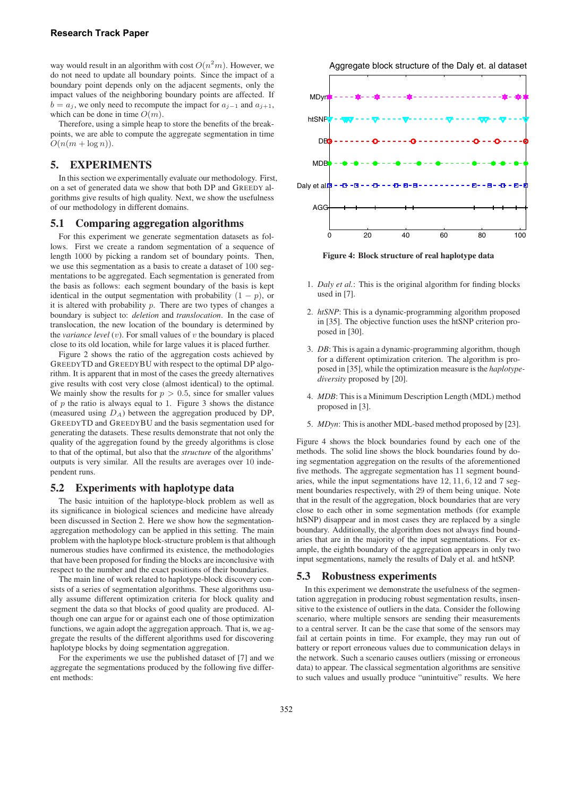way would result in an algorithm with cost  $O(n^2m)$ . However, we do not need to update all boundary points. Since the impact of a boundary point depends only on the adjacent segments, only the impact values of the neighboring boundary points are affected. If  $b = a_j$ , we only need to recompute the impact for  $a_{i-1}$  and  $a_{i+1}$ , which can be done in time  $O(m)$ .

Therefore, using a simple heap to store the benefits of the breakpoints, we are able to compute the aggregate segmentation in time  $O(n(m + \log n)).$ 

# **5. EXPERIMENTS**

In this section we experimentally evaluate our methodology. First, on a set of generated data we show that both DP and GREEDY algorithms give results of high quality. Next, we show the usefulness of our methodology in different domains.

## **5.1 Comparing aggregation algorithms**

For this experiment we generate segmentation datasets as follows. First we create a random segmentation of a sequence of length 1000 by picking a random set of boundary points. Then, we use this segmentation as a basis to create a dataset of 100 segmentations to be aggregated. Each segmentation is generated from the basis as follows: each segment boundary of the basis is kept identical in the output segmentation with probability  $(1 - p)$ , or it is altered with probability  $p$ . There are two types of changes a boundary is subject to: *deletion* and *translocation*. In the case of translocation, the new location of the boundary is determined by the *variance level*  $(v)$ . For small values of  $v$  the boundary is placed close to its old location, while for large values it is placed further.

Figure 2 shows the ratio of the aggregation costs achieved by GREEDYTD and GREEDYBU with respect to the optimal DP algorithm. It is apparent that in most of the cases the greedy alternatives give results with cost very close (almost identical) to the optimal. We mainly show the results for  $p > 0.5$ , since for smaller values of  $p$  the ratio is always equal to 1. Figure 3 shows the distance (measured using  $D_A$ ) between the aggregation produced by DP, GREEDYTD and GREEDYBU and the basis segmentation used for generating the datasets. These results demonstrate that not only the quality of the aggregation found by the greedy algorithms is close to that of the optimal, but also that the *structure* of the algorithms' outputs is very similar. All the results are averages over 10 independent runs.

#### **5.2 Experiments with haplotype data**

The basic intuition of the haplotype-block problem as well as its significance in biological sciences and medicine have already been discussed in Section 2. Here we show how the segmentationaggregation methodology can be applied in this setting. The main problem with the haplotype block-structure problem is that although numerous studies have confirmed its existence, the methodologies that have been proposed for finding the blocks are inconclusive with respect to the number and the exact positions of their boundaries.

The main line of work related to haplotype-block discovery consists of a series of segmentation algorithms. These algorithms usually assume different optimization criteria for block quality and segment the data so that blocks of good quality are produced. Although one can argue for or against each one of those optimization functions, we again adopt the aggregation approach. That is, we aggregate the results of the different algorithms used for discovering haplotype blocks by doing segmentation aggregation.

For the experiments we use the published dataset of [7] and we aggregate the segmentations produced by the following five different methods:



**Figure 4: Block structure of real haplotype data**

- 1. *Daly et al.*: This is the original algorithm for finding blocks used in [7].
- 2. *htSNP*: This is a dynamic-programming algorithm proposed in [35]. The objective function uses the htSNP criterion proposed in [30].
- 3. *DB*: This is again a dynamic-programming algorithm, though for a different optimization criterion. The algorithm is proposed in [35], while the optimization measure is the *haplotypediversity* proposed by [20].
- 4. *MDB*: This is a Minimum Description Length (MDL) method proposed in [3].
- 5. *MDyn*: This is another MDL-based method proposed by [23].

Figure 4 shows the block boundaries found by each one of the methods. The solid line shows the block boundaries found by doing segmentation aggregation on the results of the aforementioned five methods. The aggregate segmentation has 11 segment boundaries, while the input segmentations have 12, 11, 6, 12 and 7 segment boundaries respectively, with 29 of them being unique. Note that in the result of the aggregation, block boundaries that are very close to each other in some segmentation methods (for example htSNP) disappear and in most cases they are replaced by a single boundary. Additionally, the algorithm does not always find boundaries that are in the majority of the input segmentations. For example, the eighth boundary of the aggregation appears in only two input segmentations, namely the results of Daly et al. and htSNP.

#### **5.3 Robustness experiments**

In this experiment we demonstrate the usefulness of the segmentation aggregation in producing robust segmentation results, insensitive to the existence of outliers in the data. Consider the following scenario, where multiple sensors are sending their measurements to a central server. It can be the case that some of the sensors may fail at certain points in time. For example, they may run out of battery or report erroneous values due to communication delays in the network. Such a scenario causes outliers (missing or erroneous data) to appear. The classical segmentation algorithms are sensitive to such values and usually produce "unintuitive" results. We here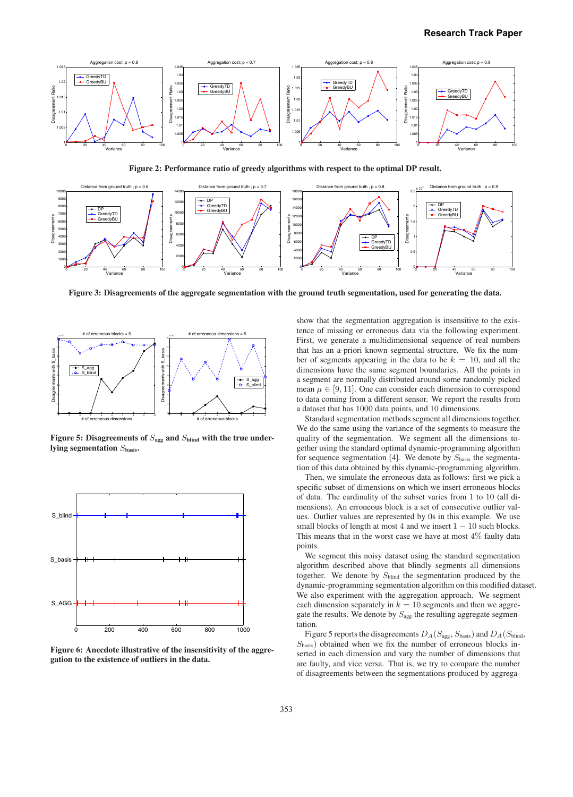

**Figure 2: Performance ratio of greedy algorithms with respect to the optimal DP result.**



**Figure 3: Disagreements of the aggregate segmentation with the ground truth segmentation, used for generating the data.**



**Figure 5: Disagreements of** S**agg and** S**blind with the true underlying segmentation** S**basis.**



**Figure 6: Anecdote illustrative of the insensitivity of the aggregation to the existence of outliers in the data.**

show that the segmentation aggregation is insensitive to the existence of missing or erroneous data via the following experiment. First, we generate a multidimensional sequence of real numbers that has an a-priori known segmental structure. We fix the number of segments appearing in the data to be  $k = 10$ , and all the dimensions have the same segment boundaries. All the points in a segment are normally distributed around some randomly picked mean  $\mu \in [9, 11]$ . One can consider each dimension to correspond to data coming from a different sensor. We report the results from a dataset that has 1000 data points, and 10 dimensions.

Standard segmentation methods segment all dimensions together. We do the same using the variance of the segments to measure the quality of the segmentation. We segment all the dimensions together using the standard optimal dynamic-programming algorithm for sequence segmentation [4]. We denote by  $S_{\text{basis}}$  the segmentation of this data obtained by this dynamic-programming algorithm.

Then, we simulate the erroneous data as follows: first we pick a specific subset of dimensions on which we insert erroneous blocks of data. The cardinality of the subset varies from 1 to 10 (all dimensions). An erroneous block is a set of consecutive outlier values. Outlier values are represented by 0s in this example. We use small blocks of length at most 4 and we insert  $1 - 10$  such blocks. This means that in the worst case we have at most 4% faulty data points.

We segment this noisy dataset using the standard segmentation algorithm described above that blindly segments all dimensions together. We denote by  $S<sub>blind</sub>$  the segmentation produced by the dynamic-programming segmentation algorithm on this modified dataset. We also experiment with the aggregation approach. We segment each dimension separately in  $k = 10$  segments and then we aggregate the results. We denote by  $S_{\text{agg}}$  the resulting aggregate segmentation.

Figure 5 reports the disagreements  $D_A(S_{\text{agg}}, S_{\text{basis}})$  and  $D_A(S_{\text{blind}}, S_{\text{signal}})$  $S<sub>basis</sub>$ ) obtained when we fix the number of erroneous blocks inserted in each dimension and vary the number of dimensions that are faulty, and vice versa. That is, we try to compare the number of disagreements between the segmentations produced by aggrega-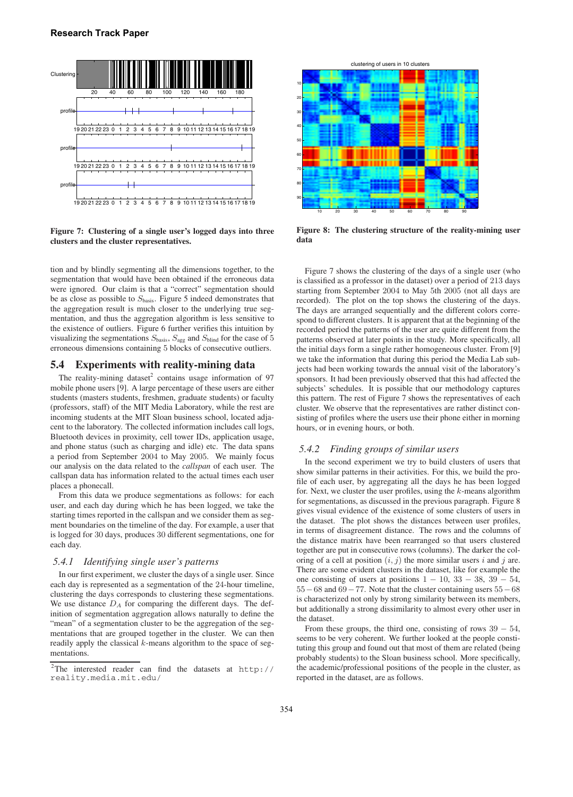

**Figure 7: Clustering of a single user's logged days into three clusters and the cluster representatives.**

tion and by blindly segmenting all the dimensions together, to the segmentation that would have been obtained if the erroneous data were ignored. Our claim is that a "correct" segmentation should be as close as possible to  $S_{\text{basis}}$ . Figure 5 indeed demonstrates that the aggregation result is much closer to the underlying true segmentation, and thus the aggregation algorithm is less sensitive to the existence of outliers. Figure 6 further verifies this intuition by visualizing the segmentations  $S_{\text{basis}}$ ,  $S_{\text{agg}}$  and  $S_{\text{blind}}$  for the case of 5 erroneous dimensions containing 5 blocks of consecutive outliers.

#### **5.4 Experiments with reality-mining data**

The reality-mining dataset<sup>2</sup> contains usage information of 97 mobile phone users [9]. A large percentage of these users are either students (masters students, freshmen, graduate students) or faculty (professors, staff) of the MIT Media Laboratory, while the rest are incoming students at the MIT Sloan business school, located adjacent to the laboratory. The collected information includes call logs, Bluetooth devices in proximity, cell tower IDs, application usage, and phone status (such as charging and idle) etc. The data spans a period from September 2004 to May 2005. We mainly focus our analysis on the data related to the *callspan* of each user. The callspan data has information related to the actual times each user places a phonecall.

From this data we produce segmentations as follows: for each user, and each day during which he has been logged, we take the starting times reported in the callspan and we consider them as segment boundaries on the timeline of the day. For example, a user that is logged for 30 days, produces 30 different segmentations, one for each day.

#### *5.4.1 Identifying single user's patterns*

In our first experiment, we cluster the days of a single user. Since each day is represented as a segmentation of the 24-hour timeline, clustering the days corresponds to clustering these segmentations. We use distance  $D_A$  for comparing the different days. The definition of segmentation aggregation allows naturally to define the "mean" of a segmentation cluster to be the aggregation of the segmentations that are grouped together in the cluster. We can then readily apply the classical  $k$ -means algorithm to the space of segmentations.



**Figure 8: The clustering structure of the reality-mining user data**

Figure 7 shows the clustering of the days of a single user (who is classified as a professor in the dataset) over a period of 213 days starting from September 2004 to May 5th 2005 (not all days are recorded). The plot on the top shows the clustering of the days. The days are arranged sequentially and the different colors correspond to different clusters. It is apparent that at the beginning of the recorded period the patterns of the user are quite different from the patterns observed at later points in the study. More specifically, all the initial days form a single rather homogeneous cluster. From [9] we take the information that during this period the Media Lab subjects had been working towards the annual visit of the laboratory's sponsors. It had been previously observed that this had affected the subjects' schedules. It is possible that our methodology captures this pattern. The rest of Figure 7 shows the representatives of each cluster. We observe that the representatives are rather distinct consisting of profiles where the users use their phone either in morning hours, or in evening hours, or both.

#### *5.4.2 Finding groups of similar users*

In the second experiment we try to build clusters of users that show similar patterns in their activities. For this, we build the profile of each user, by aggregating all the days he has been logged for. Next, we cluster the user profiles, using the  $k$ -means algorithm for segmentations, as discussed in the previous paragraph. Figure 8 gives visual evidence of the existence of some clusters of users in the dataset. The plot shows the distances between user profiles, in terms of disagreement distance. The rows and the columns of the distance matrix have been rearranged so that users clustered together are put in consecutive rows (columns). The darker the coloring of a cell at position  $(i, j)$  the more similar users i and j are. There are some evident clusters in the dataset, like for example the one consisting of users at positions  $1 - 10$ ,  $33 - 38$ ,  $39 - 54$ , 55−68 and 69−77. Note that the cluster containing users 55−68 is characterized not only by strong similarity between its members, but additionally a strong dissimilarity to almost every other user in the dataset.

From these groups, the third one, consisting of rows  $39 - 54$ , seems to be very coherent. We further looked at the people constituting this group and found out that most of them are related (being probably students) to the Sloan business school. More specifically, the academic/professional positions of the people in the cluster, as reported in the dataset, are as follows.

<sup>&</sup>lt;sup>2</sup>The interested reader can find the datasets at  $http://$ reality.media.mit.edu/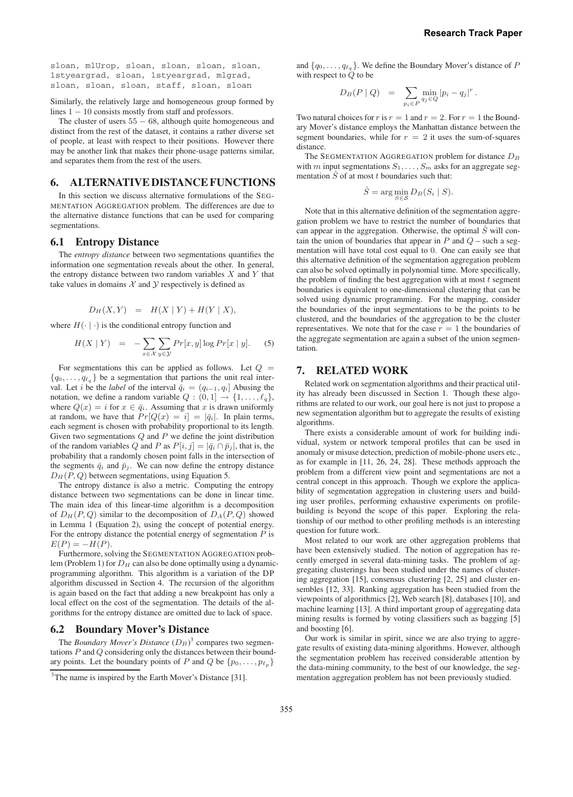sloan, mlUrop, sloan, sloan, sloan, sloan, 1styeargrad, sloan, 1styeargrad, mlgrad, sloan, sloan, sloan, staff, sloan, sloan

Similarly, the relatively large and homogeneous group formed by lines 1 <sup>−</sup> 10 consists mostly from staff and professors.

The cluster of users  $55 - 68$ , although quite homogeneous and distinct from the rest of the dataset, it contains a rather diverse set of people, at least with respect to their positions. However there may be another link that makes their phone-usage patterns similar, and separates them from the rest of the users.

# **6. ALTERNATIVE DISTANCE FUNCTIONS**

In this section we discuss alternative formulations of the SEG-MENTATION AGGREGATION problem. The differences are due to the alternative distance functions that can be used for comparing segmentations.

## **6.1 Entropy Distance**

The *entropy distance* between two segmentations quantifies the information one segmentation reveals about the other. In general, the entropy distance between two random variables  $X$  and  $Y$  that take values in domains  $X$  and  $Y$  respectively is defined as

$$
D_H(X, Y) = H(X | Y) + H(Y | X),
$$

where  $H(\cdot | \cdot)$  is the conditional entropy function and

$$
H(X \mid Y) = -\sum_{x \in \mathcal{X}} \sum_{y \in \mathcal{Y}} Pr[x, y] \log Pr[x \mid y]. \tag{5}
$$

For segmentations this can be applied as follows. Let  $Q =$  ${q_0, \ldots, q_{\ell_q}}$  be a segmentation that partions the unit real interval. Let *i* be the *label* of the interval  $\bar{q}_i = (q_{i-1}, q_i]$  Abusing the notation, we define a random variable  $Q : (0,1] \rightarrow \{1,\ldots,\ell_q\}$ ,<br>where  $Q(x) = i$  for  $x \in \bar{a}$ . Assuming that x is drawn uniformly where  $Q(x) = i$  for  $x \in \overline{q_i}$ . Assuming that x is drawn uniformly at random, we have that  $Pr[Q(x) = i] = |\bar{q}_i|$ . In plain terms, each segment is chosen with probability proportional to its length. Given two segmentations  $Q$  and  $P$  we define the joint distribution of the random variables Q and P as  $P[i, j] = |\bar{q}_i \cap \bar{p}_j|$ , that is, the probability that a randomly chosen point falls in the intersection of the segments  $\bar{q}_i$  and  $\bar{p}_j$ . We can now define the entropy distance  $D_H(P,Q)$  between segmentations, using Equation 5.

The entropy distance is also a metric. Computing the entropy distance between two segmentations can be done in linear time. The main idea of this linear-time algorithm is a decomposition of  $D_H(P,Q)$  similar to the decomposition of  $D_A(P,Q)$  showed in Lemma 1 (Equation 2), using the concept of potential energy. For the entropy distance the potential energy of segmentation  $P$  is  $E(P) = -H(P).$ 

Furthermore, solving the SEGMENTATION AGGREGATION problem (Problem 1) for  $D<sub>H</sub>$  can also be done optimally using a dynamicprogramming algorithm. This algorithm is a variation of the DP algorithm discussed in Section 4. The recursion of the algorithm is again based on the fact that adding a new breakpoint has only a local effect on the cost of the segmentation. The details of the algorithms for the entropy distance are omitted due to lack of space.

#### **6.2 Boundary Mover's Distance**

The *Boundary Mover's Distance*  $(D_B)^3$  compares two segmentations P and Q considering only the distances between their boundary points. Let the boundary points of P and Q be  $\{p_0, \ldots, p_{\ell_p}\}$ 

and  $\{q_0, \ldots, q_{\ell_q}\}\.$  We define the Boundary Mover's distance of P with respect to  $\overline{Q}$  to be

$$
D_B(P | Q) = \sum_{p_i \in P} \min_{q_j \in Q} |p_i - q_j|^r.
$$

Two natural choices for r is  $r = 1$  and  $r = 2$ . For  $r = 1$  the Boundary Mover's distance employs the Manhattan distance between the segment boundaries, while for  $r = 2$  it uses the sum-of-squares distance.

The SEGMENTATION AGGREGATION problem for distance  $D_B$ with m input segmentations  $S_1, \ldots, S_m$  asks for an aggregate segmentation  $\hat{S}$  of at most t boundaries such that:

$$
\hat{S} = \arg\min_{S \in \mathcal{S}} D_B(S_i \mid S).
$$

Note that in this alternative definition of the segmentation aggregation problem we have to restrict the number of boundaries that can appear in the aggregation. Otherwise, the optimal  $S$  will contain the union of boundaries that appear in  $P$  and  $Q$  – such a segmentation will have total cost equal to 0. One can easily see that this alternative definition of the segmentation aggregation problem can also be solved optimally in polynomial time. More specifically, the problem of finding the best aggregation with at most  $t$  segment boundaries is equivalent to one-dimensional clustering that can be solved using dynamic programming. For the mapping, consider the boundaries of the input segmentations to be the points to be clustered, and the boundaries of the aggregation to be the cluster representatives. We note that for the case  $r = 1$  the boundaries of the aggregate segmentation are again a subset of the union segmentation.

## **7. RELATED WORK**

Related work on segmentation algorithms and their practical utility has already been discussed in Section 1. Though these algorithms are related to our work, our goal here is not just to propose a new segmentation algorithm but to aggregate the results of existing algorithms.

There exists a considerable amount of work for building individual, system or network temporal profiles that can be used in anomaly or misuse detection, prediction of mobile-phone users etc., as for example in [11, 26, 24, 28]. These methods approach the problem from a different view point and segmentations are not a central concept in this approach. Though we explore the applicability of segmentation aggregation in clustering users and building user profiles, performing exhaustive experiments on profilebuilding is beyond the scope of this paper. Exploring the relationship of our method to other profiling methods is an interesting question for future work.

Most related to our work are other aggregation problems that have been extensively studied. The notion of aggregation has recently emerged in several data-mining tasks. The problem of aggregating clusterings has been studied under the names of clustering aggregation [15], consensus clustering [2, 25] and cluster ensembles [12, 33]. Ranking aggregation has been studied from the viewpoints of algorithmics [2], Web search [8], databases [10], and machine learning [13]. A third important group of aggregating data mining results is formed by voting classifiers such as bagging [5] and boosting [6].

Our work is similar in spirit, since we are also trying to aggregate results of existing data-mining algorithms. However, although the segmentation problem has received considerable attention by the data-mining community, to the best of our knowledge, the segmentation aggregation problem has not been previously studied.

<sup>&</sup>lt;sup>3</sup>The name is inspired by the Earth Mover's Distance [31].